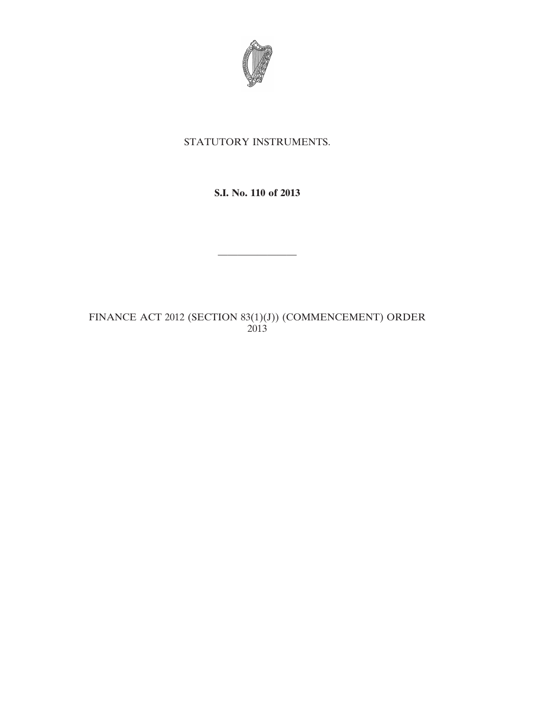

## STATUTORY INSTRUMENTS.

## **S.I. No. 110 of 2013**

————————

FINANCE ACT 2012 (SECTION 83(1)(J)) (COMMENCEMENT) ORDER 2013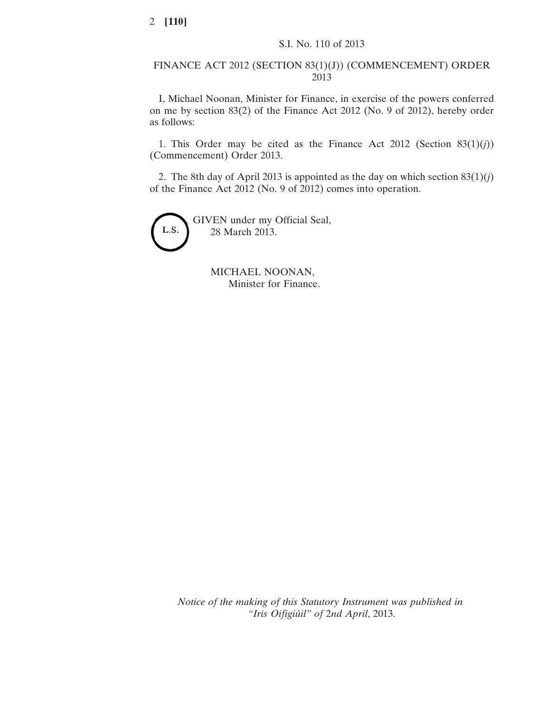## FINANCE ACT 2012 (SECTION 83(1)(J)) (COMMENCEMENT) ORDER 2013

I, Michael Noonan, Minister for Finance, in exercise of the powers conferred on me by section 83(2) of the Finance Act 2012 (No. 9 of 2012), hereby order as follows:

1. This Order may be cited as the Finance Act 2012 (Section  $83(1)(j)$ ) (Commencement) Order 2013.

2. The 8th day of April 2013 is appointed as the day on which section  $83(1)(*i*)$ of the Finance Act 2012 (No. 9 of 2012) comes into operation.



MICHAEL NOONAN, Minister for Finance.

*Notice of the making of this Statutory Instrument was published in "Iris Oifigiúil" of* 2*nd April*, 2013.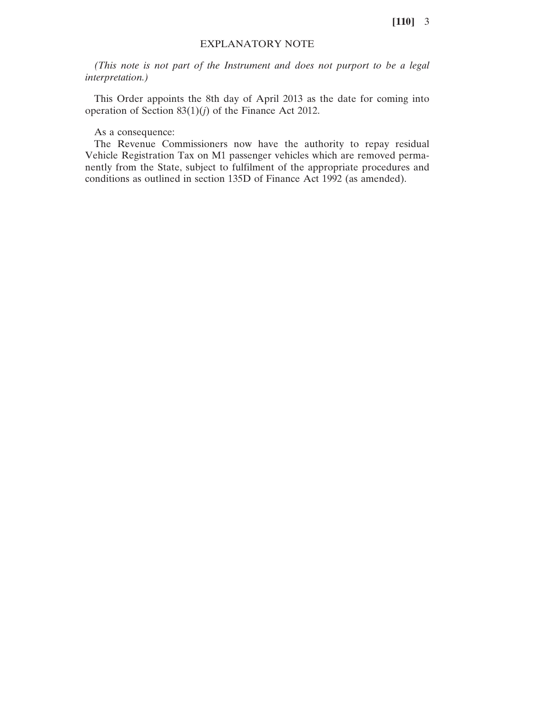**[110]** 3

## EXPLANATORY NOTE

*(This note is not part of the Instrument and does not purport to be a legal interpretation.)*

This Order appoints the 8th day of April 2013 as the date for coming into operation of Section 83(1)(*j*) of the Finance Act 2012.

As a consequence:

The Revenue Commissioners now have the authority to repay residual Vehicle Registration Tax on M1 passenger vehicles which are removed permanently from the State, subject to fulfilment of the appropriate procedures and conditions as outlined in section 135D of Finance Act 1992 (as amended).